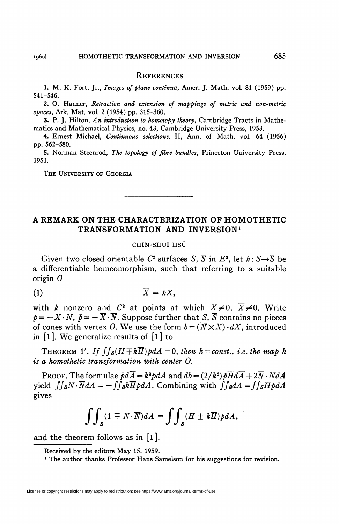#### **REFERENCES**

1. M. K. Fort, Jr., Images of plane continua, Amer. J. Math. vol. 81 (1959) pp. 541-546.

2. O. Hanner, Retraction and extension of mappings of metric and non-metric spaces, Ark. Mat. vol. 2 (1954) pp. 315-360.

3. P. J. Hilton, An introduction to homotopy theory, Cambridge Tracts in Mathematics and Mathematical Physics, no. 43, Cambridge University Press, 1953.

4. Ernest Michael, Continuous selections. II, Ann. of Math. vol. 64 (1956) pp. 562-580.

5. Norman Steenrod, The topology of fibre bundles, Princeton University Press, 1951.

The University of Georgia

# A REMARK ON THE CHARACTERIZATION OF HOMOTHETIC TRANSFORMATION AND INVERSION1

### CHIN-SHUI HSÜ

Given two closed orientable  $C^2$  surfaces S,  $\overline{S}$  in  $E^3$ , let  $h: S \rightarrow \overline{S}$  be a differentiable homeomorphism, such that referring to a suitable origin O

$$
\overline{X} = kX,
$$

with k nonzero and  $C^2$  at points at which  $X\neq 0$ ,  $\overline{X}\neq 0$ . Write  $p=-X\cdot N, \; p=-\overline{X}\cdot \overline{N}$ . Suppose further that S,  $\overline{S}$  contains no pieces of cones with vertex O. We use the form  $b = (\overline{N} \times X) \cdot dX$ , introduced in [l]. We generalize results of [l] to

THEOREM 1'. If  $\int \int_S (H \mp k \overline{H}) \rho dA = 0$ , then  $k = const.$ , i.e. the map h is a homothetic transformation with center 0.

PROOF. The formulae  $\bar{p}d\bar{A} = k^3p dA$  and  $db = (2/k^2)\bar{p}\bar{H}d\bar{A} + 2\bar{N}\cdot NdA$ yield  $\int \int_S N \cdot \overline{N} dA = -\int \int_S k \overline{H} \rho dA$ . Combining with  $\int \int_S dA = \int \int_S H \rho dA$ gives

$$
\int\!\!\int_S (1\mp N\cdot\overline{N})dA=\int\!\!\int_S (H\pm k\overline{H})p dA,
$$

and the theorem follows as in [l].

Received by the editors May 15, 1959.

<sup>1</sup> The author thanks Professor Hans Samelson for his suggestions for revision.